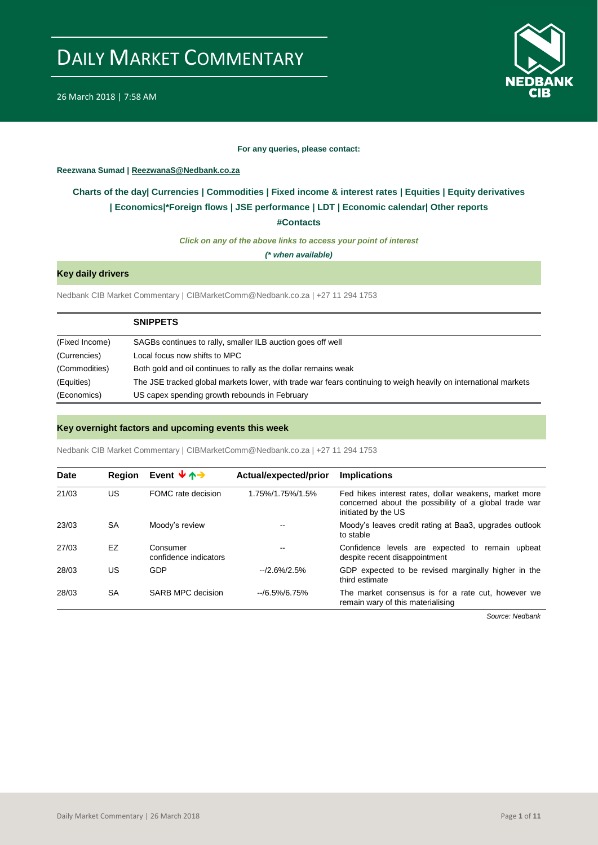



#### **For any queries, please contact:**

## <span id="page-0-0"></span>**Reezwana Sumad | ReezwanaS@Nedbank.co.za**

## **Charts of the day| [Currencies](#page-2-0) [| Commodities](#page-3-0) | [Fixed income & interest rates](#page-1-0) | [Equities](#page-4-0) | Equity derivatives | [Economics|\\*](#page-7-0)Foreign flows [| JSE performance](#page-4-1) | [LDT](#page-5-0) | [Economic calendar|](#page-8-0) Other reports**

**[#Contacts](#page-9-0)**

*Click on any of the above links to access your point of interest*

*(\* when available)*

## **Key daily drivers**

Nedbank CIB Market Commentary | CIBMarketComm@Nedbank.co.za | +27 11 294 1753

|                | <b>SNIPPETS</b>                                                                                                 |
|----------------|-----------------------------------------------------------------------------------------------------------------|
| (Fixed Income) | SAGBs continues to rally, smaller ILB auction goes off well                                                     |
| (Currencies)   | Local focus now shifts to MPC                                                                                   |
| (Commodities)  | Both gold and oil continues to rally as the dollar remains weak                                                 |
| (Equities)     | The JSE tracked global markets lower, with trade war fears continuing to weigh heavily on international markets |
| (Economics)    | US capex spending growth rebounds in February                                                                   |

## **Key overnight factors and upcoming events this week**

Nedbank CIB Market Commentary | CIBMarketComm@Nedbank.co.za | +27 11 294 1753

| <b>Date</b> | <b>Region</b> | Event $\forall$ $\land \rightarrow$ | Actual/expected/prior | <b>Implications</b>                                                                                                                   |
|-------------|---------------|-------------------------------------|-----------------------|---------------------------------------------------------------------------------------------------------------------------------------|
| 21/03       | US            | FOMC rate decision                  | 1.75%/1.75%/1.5%      | Fed hikes interest rates, dollar weakens, market more<br>concerned about the possibility of a global trade war<br>initiated by the US |
| 23/03       | SA            | Moody's review                      | --                    | Moody's leaves credit rating at Baa3, upgrades outlook<br>to stable                                                                   |
| 27/03       | EZ            | Consumer<br>confidence indicators   | --                    | Confidence levels are expected to remain upbeat<br>despite recent disappointment                                                      |
| 28/03       | US            | GDP                                 | $-2.6\%/2.5\%$        | GDP expected to be revised marginally higher in the<br>third estimate                                                                 |
| 28/03       | SA            | SARB MPC decision                   | $-$ /6.5%/6.75%       | The market consensus is for a rate cut, however we<br>remain wary of this materialising                                               |

*Source: Nedbank*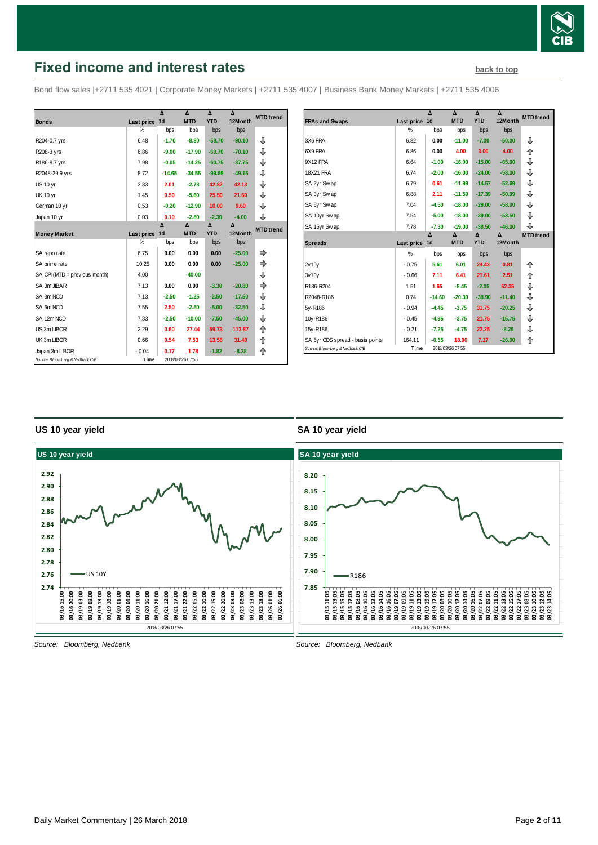

## <span id="page-1-0"></span>**Fixed income and interest rates [back to top](#page-0-0) back to top**

Bond flow sales |+2711 535 4021 | Corporate Money Markets | +2711 535 4007 | Business Bank Money Markets | +2711 535 4006

|                                 |            | $\Lambda$      | $\Lambda$        | Δ          | $\Lambda$ | <b>MTD</b> trend |
|---------------------------------|------------|----------------|------------------|------------|-----------|------------------|
| <b>Bonds</b>                    | Last price | 1 <sub>d</sub> | <b>MTD</b>       | <b>YTD</b> | 12Month   |                  |
|                                 | %          | bps            | bps              | bps        | bps       |                  |
| R204-0.7 yrs                    | 6.48       | $-1.70$        | $-8.80$          | $-58.70$   | $-90.10$  | ⊕                |
| R208-3 yrs                      | 6.86       | $-9.00$        | $-17.90$         | $-69.70$   | $-70.10$  | ⊕                |
| R186-8.7 yrs                    | 7.98       | $-0.05$        | $-14.25$         | $-60.75$   | $-37.75$  | ⊕                |
| R2048-29.9 yrs                  | 8.72       | $-14.65$       | $-34.55$         | $-99.65$   | $-49.15$  | ⊕                |
| <b>US 10 yr</b>                 | 2.83       | 2.01           | $-2.78$          | 42.82      | 42.13     | ⊕                |
| <b>UK 10 yr</b>                 | 1.45       | 0.50           | $-5.60$          | 25.50      | 21.60     | ⊕                |
| German 10 yr                    | 0.53       | $-0.20$        | $-12.90$         | 10.00      | 9.60      | ⊕                |
| Japan 10 yr                     | 0.03       | 0.10           | $-2.80$          | $-2.30$    | $-4.00$   | ⊕                |
|                                 |            | Δ              | Δ                | Δ          | Δ         | <b>MTD</b> trend |
| <b>Money Market</b>             | Last price | 1 <sub>d</sub> | <b>MTD</b>       | <b>YTD</b> | 12Month   |                  |
|                                 | %          | bps            | bps              | bps        | bps       |                  |
| SA repo rate                    | 6.75       | 0.00           | 0.00             | 0.00       | $-25.00$  | ⇛                |
| SA prime rate                   | 10.25      | 0.00           | 0.00             | 0.00       | $-25.00$  |                  |
| SA CPI (MTD = previous month)   | 4.00       |                | $-40.00$         |            |           | ⊕                |
| SA 3m JIBAR                     | 7.13       | 0.00           | 0.00             | $-3.30$    | $-20.80$  |                  |
| SA 3m NCD                       | 7.13       | $-2.50$        | $-1.25$          | $-2.50$    | $-17.50$  | ⊕                |
| SA 6m NCD                       | 7.55       | 2.50           | $-2.50$          | $-5.00$    | $-32.50$  | ⊕                |
| SA 12m NCD                      | 7.83       | $-2.50$        | $-10.00$         | $-7.50$    | $-45.00$  | ⊕                |
| US 3m LIBOR                     | 2.29       | 0.60           | 27.44            | 59.73      | 113.87    | ⇑                |
| UK 3m LIBOR                     | 0.66       | 0.54           | 7.53             | 13.58      | 31.40     | ⇑                |
| Japan 3m LIBOR                  | $-0.04$    | 0.17           | 1.78             | $-1.82$    | $-8.38$   | 合                |
| Source: Bloomberg & Nedbank CIB | Time       |                | 2018/03/26 07:55 |            |           |                  |

|                                  |            | Δ              | Δ          | Δ          | Δ        | <b>MTD</b> trend |
|----------------------------------|------------|----------------|------------|------------|----------|------------------|
| <b>FRAs and Swaps</b>            | Last price | 1 <sub>d</sub> | <b>MTD</b> | <b>YTD</b> | 12Month  |                  |
|                                  | %          | bps            | bps        | bps        | bps      |                  |
| 3X6 FRA                          | 6.82       | 0.00           | $-11.00$   | $-7.00$    | $-50.00$ | ⊕                |
| 6X9 FRA                          | 6.86       | 0.00           | 4.00       | 3.00       | 4.00     | 企                |
| 9X12 FRA                         | 6.64       | $-1.00$        | $-16.00$   | $-15.00$   | $-65.00$ | ⊕                |
| 18X21 FRA                        | 6.74       | $-2.00$        | $-16.00$   | $-24.00$   | $-58.00$ | ⊕                |
| SA 2yr Swap                      | 6.79       | 0.61           | $-11.99$   | $-14.57$   | $-52.69$ | ⊕                |
| SA 3yr Swap                      | 6.88       | 2.11           | $-11.59$   | $-17.39$   | $-50.99$ | ⊕                |
| SA 5yr Swap                      | 7.04       | $-4.50$        | $-18.00$   | $-29.00$   | $-58.00$ | ⊕                |
| SA 10yr Swap                     | 7.54       | $-5.00$        | $-18.00$   | $-39.00$   | $-53.50$ | ⊕                |
| SA 15yr Swap                     | 7.78       | $-7.30$        | $-19.00$   | $-38.50$   | $-46.00$ | ⊕                |
|                                  |            | Δ              | Δ          | Δ          | Δ        | <b>MTD</b> trend |
| <b>Spreads</b>                   | Last price | 1 <sub>d</sub> | <b>MTD</b> | <b>YTD</b> | 12Month  |                  |
|                                  | %          | bps            | bps        | bps        | bps      |                  |
| 2v10y                            | $-0.75$    | 5.61           | 6.01       | 24.43      | 0.81     | 企                |
| 3v10v                            | $-0.66$    | 7.11           | 6.41       | 21.61      | 2.51     | ⇑                |
| R186-R204                        | 1.51       | 1.65           | $-5.45$    | $-2.05$    | 52.35    | ⊕                |
| R2048-R186                       | 0.74       | $-14.60$       | $-20.30$   | $-38.90$   | $-11.40$ | ⊕                |
|                                  |            |                |            |            |          |                  |
|                                  | $-0.94$    | $-4.45$        | $-3.75$    | 31.75      | $-20.25$ | ⊕                |
|                                  | $-0.45$    | $-4.95$        | $-3.75$    | 21.75      | $-15.75$ | ⊕                |
| 5y-R186<br>10y-R186<br>15y-R186  | $-0.21$    | $-7.25$        | $-4.75$    | 22.25      | $-8.25$  | ⊕                |
| SA 5yr CDS spread - basis points | 164.11     | $-0.55$        | 18.90      | 7.17       | $-26.90$ | 合                |

## **US 10 year yield**

## **SA 10 year yield**



*Source: Bloomberg, Nedbank*

*Source: Bloomberg, Nedbank*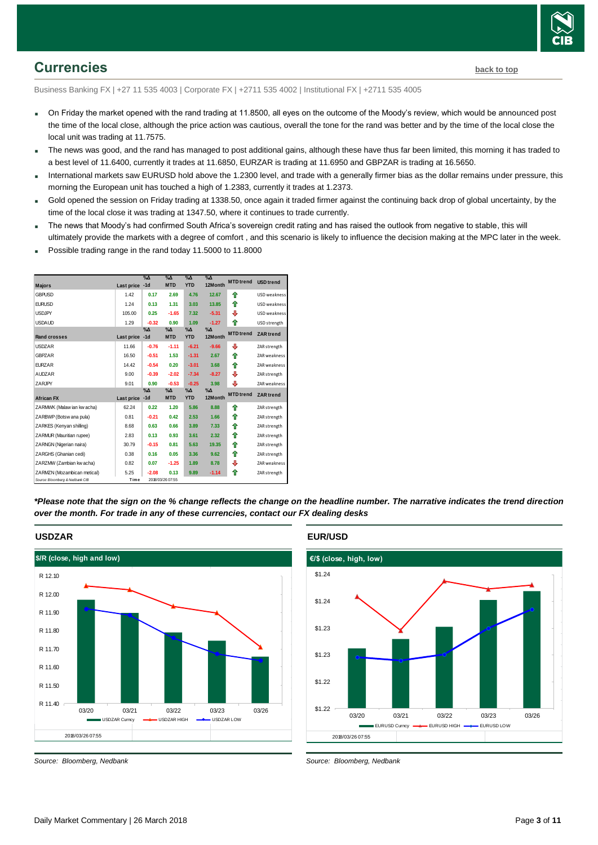

## <span id="page-2-0"></span>**Currencies [back to top](#page-0-0)**

Business Banking FX | +27 11 535 4003 | Corporate FX | +2711 535 4002 | Institutional FX | +2711 535 4005

- On Friday the market opened with the rand trading at 11.8500, all eyes on the outcome of the Moody's review, which would be announced post the time of the local close, although the price action was cautious, overall the tone for the rand was better and by the time of the local close the local unit was trading at 11.7575.
- The news was good, and the rand has managed to post additional gains, although these have thus far been limited, this morning it has traded to a best level of 11.6400, currently it trades at 11.6850, EURZAR is trading at 11.6950 and GBPZAR is trading at 16.5650.
- International markets saw EURUSD hold above the 1.2300 level, and trade with a generally firmer bias as the dollar remains under pressure, this morning the European unit has touched a high of 1.2383, currently it trades at 1.2373.
- Gold opened the session on Friday trading at 1338.50, once again it traded firmer against the continuing back drop of global uncertainty, by the time of the local close it was trading at 1347.50, where it continues to trade currently.
- The news that Moody's had confirmed South Africa's sovereign credit rating and has raised the outlook from negative to stable, this will ultimately provide the markets with a degree of comfort , and this scenario is likely to influence the decision making at the MPC later in the week.
- Possible trading range in the rand today 11.5000 to 11.8000

|                                 |            | $\%$ $\Delta$       | $\%$ $\Delta$               | $\%$ $\Delta$               | $\Delta N$             | <b>MTD</b> trend | <b>USD</b> trend |
|---------------------------------|------------|---------------------|-----------------------------|-----------------------------|------------------------|------------------|------------------|
| <b>Majors</b>                   | Last price | $-1d$               | <b>MTD</b>                  | <b>YTD</b>                  | 12Month                |                  |                  |
| <b>GBPUSD</b>                   | 1.42       | 0.17                | 2.69                        | 4.76                        | 12.67                  | ♠                | USD weakness     |
| <b>EURUSD</b>                   | 1.24       | 0.13                | 1.31                        | 3.03                        | 13.85                  | ♠                | USD weakness     |
| <b>USDJPY</b>                   | 105.00     | 0.25                | $-1.65$                     | 7.32                        | $-5.31$                | ⊕                | USD weakness     |
| <b>USDAUD</b>                   | 1.29       | $-0.32$             | 0.90                        | 1.09                        | $-1.27$                | ⇑                | USD strength     |
| <b>Rand crosses</b>             | Last price | $% \Delta$<br>$-1d$ | $\%$ $\Delta$<br><b>MTD</b> | $\%$ $\Delta$<br><b>YTD</b> | $\% \Delta$<br>12Month | <b>MTD</b> trend | <b>ZAR</b> trend |
| <b>USDZAR</b>                   | 11.66      | $-0.76$             | $-1.11$                     | $-6.21$                     | $-9.66$                | ⊕                | ZAR strength     |
| GBPZAR                          | 16.50      | $-0.51$             | 1.53                        | $-1.31$                     | 2.67                   | 合                | ZAR weakness     |
| <b>EURZAR</b>                   | 14.42      | $-0.54$             | 0.20                        | $-3.01$                     | 3.68                   | 合                | ZAR weakness     |
| <b>AUDZAR</b>                   | 9.00       | $-0.39$             | $-2.02$                     | $-7.34$                     | $-8.27$                | ⊕                | ZAR strength     |
| ZARJPY                          | 9.01       | 0.90                | $-0.53$                     | $-0.25$                     | 3.98                   | ⇩                | ZAR weakness     |
|                                 |            | $\%$ $\Delta$       | $\%$ $\Delta$               | $\%$ $\Delta$               | $\% \Delta$            | <b>MTD</b> trend | <b>ZAR</b> trend |
| <b>African FX</b>               | Last price | $-1d$               | <b>MTD</b>                  | <b>YTD</b>                  | 12Month                |                  |                  |
| ZARMWK (Malaw ian kw acha)      | 62.24      | 0.22                | 1.20                        | 5.86                        | 8.88                   | ♠                | ZAR strength     |
| ZARBWP (Botsw ana pula)         | 0.81       | $-0.21$             | 0.42                        | 2.53                        | 1.66                   | ♠                | ZAR strength     |
| ZARKES (Kenyan shilling)        | 8.68       | 0.63                | 0.66                        | 3.89                        | 7.33                   | ⇑                | ZAR strength     |
| ZARMUR (Mauritian rupee)        | 2.83       | 0.13                | 0.93                        | 3.61                        | 2.32                   | ⇑                | ZAR strength     |
| ZARNGN (Nigerian naira)         | 30.79      | $-0.15$             | 0.81                        | 5.63                        | 19.35                  | ♠                | ZAR strength     |
| ZARGHS (Ghanian cedi)           | 0.38       | 0.16                | 0.05                        | 3.36                        | 9.62                   | ↟                | ZAR strength     |
| ZARZMW (Zambian kw acha)        | 0.82       | 0.07                | $-1.25$                     | 1.89                        | 8.78                   | ⇩                | ZAR weakness     |
| ZARMZN (Mozambican metical)     | 5.25       | $-2.08$             | 0.13                        | 9.89                        | $-1.14$                | ⇑                | ZAR strength     |
| Source: Bloomberg & Nedbank CIB | Time       |                     | 2018/03/26 07:55            |                             |                        |                  |                  |

*\*Please note that the sign on the % change reflects the change on the headline number. The narrative indicates the trend direction over the month. For trade in any of these currencies, contact our FX dealing desks*

## **USDZAR** 2018/03/26 07:55 **\$/R (close, high and low)** R 11.40 R 11.50 R 11.60 R 11.70 R 11.80 R 11.90 R 12.00 R 12.10 03/20 03/21 03/22 03/23 03/26 USDZAR Curncy **- 4-** USDZAR HIGH - 4- USDZAR LOW

*Source: Bloomberg, Nedbank*

**EUR/USD**



*Source: Bloomberg, Nedbank*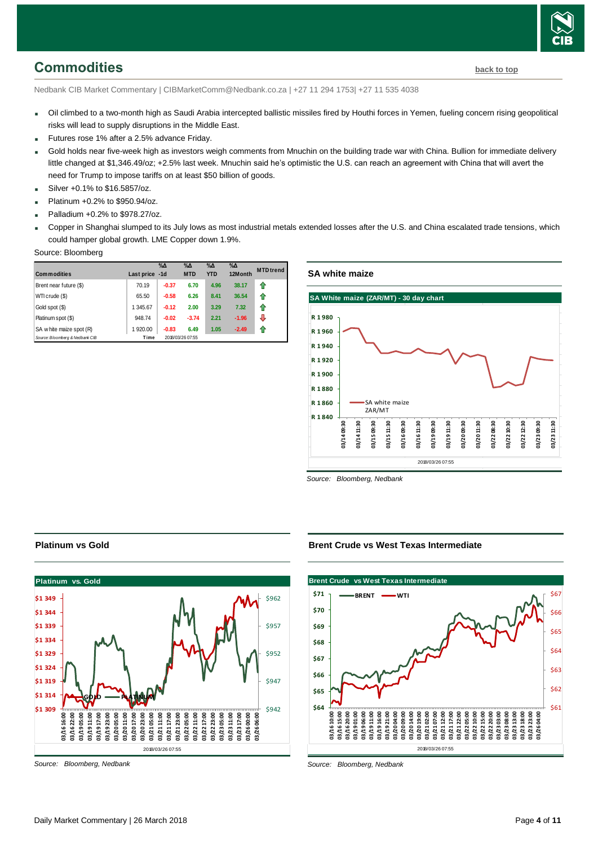## <span id="page-3-0"></span>**Commodities [back to top](#page-0-0)**

Nedbank CIB Market Commentary | CIBMarketComm@Nedbank.co.za | +27 11 294 1753| +27 11 535 4038

- Oil climbed to a two-month high as Saudi Arabia intercepted ballistic missiles fired by Houthi forces in Yemen, fueling concern rising geopolitical risks will lead to supply disruptions in the Middle East.
- Futures rose 1% after a 2.5% advance Friday.
- Gold holds near five-week high as investors weigh comments from Mnuchin on the building trade war with China. Bullion for immediate delivery little changed at \$1,346.49/oz; +2.5% last week. Mnuchin said he's optimistic the U.S. can reach an agreement with China that will avert the need for Trump to impose tariffs on at least \$50 billion of goods.
- Silver +0.1% to \$16.5857/oz.
- Platinum +0.2% to \$950.94/oz.
- Palladium +0.2% to \$978.27/oz.
- Copper in Shanghai slumped to its July lows as most industrial metals extended losses after the U.S. and China escalated trade tensions, which could hamper global growth. LME Copper down 1.9%.

#### Source: Bloomberg

| <b>Commodities</b>              | Last price -1d | $\%$ $\Delta$ | $\%$ $\Delta$<br><b>MTD</b> | $\%$ $\Delta$<br><b>YTD</b> | $\%$ $\Delta$<br>12Month | <b>MTD</b> trend |
|---------------------------------|----------------|---------------|-----------------------------|-----------------------------|--------------------------|------------------|
| Brent near future (\$)          | 70.19          | $-0.37$       | 6.70                        | 4.96                        | 38.17                    | 1                |
| WTI crude (\$)                  | 65.50          | $-0.58$       | 6.26                        | 8.41                        | 36.54                    | 11               |
| Gold spot (\$)                  | 1 345.67       | $-0.12$       | 2.00                        | 3.29                        | 7.32                     | 11               |
| Platinum spot (\$)              | 948.74         | $-0.02$       | $-3.74$                     | 2.21                        | $-1.96$                  | J                |
| SA w hite maize spot (R)        | 1 920.00       | $-0.83$       | 6.49                        | 1.05                        | $-2.49$                  |                  |
| Source: Bloomberg & Nedbank CIB | Time           |               | 2018/03/26 07:55            |                             |                          |                  |

## **SA white maize**



*Source: Bloomberg, Nedbank*

## **Platinum vs Gold**



*Source: Bloomberg, Nedbank*

## **Brent Crude vs West Texas Intermediate**



*Source: Bloomberg, Nedbank*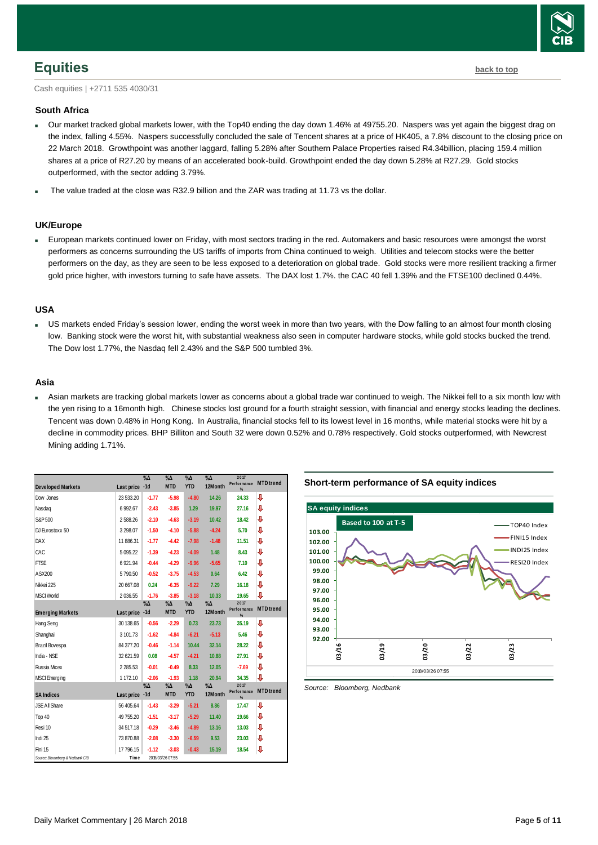

## <span id="page-4-0"></span>**Equities [back to top](#page-0-0)**

Cash equities | +2711 535 4030/31

### **South Africa**

- Our market tracked global markets lower, with the Top40 ending the day down 1.46% at 49755.20. Naspers was yet again the biggest drag on the index, falling 4.55%. Naspers successfully concluded the sale of Tencent shares at a price of HK405, a 7.8% discount to the closing price on 22 March 2018. Growthpoint was another laggard, falling 5.28% after Southern Palace Properties raised R4.34billion, placing 159.4 million shares at a price of R27.20 by means of an accelerated book-build. Growthpoint ended the day down 5.28% at R27.29. Gold stocks outperformed, with the sector adding 3.79%.
- The value traded at the close was R32.9 billion and the ZAR was trading at 11.73 vs the dollar.

#### **UK/Europe**

 European markets continued lower on Friday, with most sectors trading in the red. Automakers and basic resources were amongst the worst performers as concerns surrounding the US tariffs of imports from China continued to weigh. Utilities and telecom stocks were the better performers on the day, as they are seen to be less exposed to a deterioration on global trade. Gold stocks were more resilient tracking a firmer gold price higher, with investors turning to safe have assets. The DAX lost 1.7%. the CAC 40 fell 1.39% and the FTSE100 declined 0.44%.

#### **USA**

 US markets ended Friday's session lower, ending the worst week in more than two years, with the Dow falling to an almost four month closing low. Banking stock were the worst hit, with substantial weakness also seen in computer hardware stocks, while gold stocks bucked the trend. The Dow lost 1.77%, the Nasdaq fell 2.43% and the S&P 500 tumbled 3%.

#### **Asia**

 Asian markets are tracking global markets lower as concerns about a global trade war continued to weigh. The Nikkei fell to a six month low with the yen rising to a 16month high. Chinese stocks lost ground for a fourth straight session, with financial and energy stocks leading the declines. Tencent was down 0.48% in Hong Kong. In Australia, financial stocks fell to its lowest level in 16 months, while material stocks were hit by a decline in commodity prices. BHP Billiton and South 32 were down 0.52% and 0.78% respectively. Gold stocks outperformed, with Newcrest Mining adding 1.71%.

| <b>Developed Markets</b>        | Last price -1d | $\%$ $\Delta$ | $\%$ $\Delta$<br><b>MTD</b> | $\%$ $\Delta$<br><b>YTD</b> | $\%$ $\Delta$<br>12Month | 2017<br>Performance<br>% | <b>MTD</b> trend |
|---------------------------------|----------------|---------------|-----------------------------|-----------------------------|--------------------------|--------------------------|------------------|
| Dow Jones                       | 23 533.20      | $-1.77$       | $-5.98$                     | $-4.80$                     | 14.26                    | 24.33                    | ⇩                |
| Nasdag                          | 6 9 9 2.67     | $-2.43$       | $-3.85$                     | 1.29                        | 19.97                    | 27.16                    | J                |
| S&P 500                         | 2588.26        | $-2.10$       | $-4.63$                     | $-3.19$                     | 10.42                    | 18.42                    | ⇩                |
| DJ Eurostoxx 50                 | 3 2 9 8 . 0 7  | $-1.50$       | $-4.10$                     | $-5.88$                     | $-4.24$                  | 5.70                     | ⇩                |
| <b>DAX</b>                      | 11 886.31      | $-1.77$       | $-4.42$                     | $-7.98$                     | $-1.48$                  | 11.51                    | ⇩                |
| CAC                             | 5 0 9 5.22     | $-1.39$       | $-4.23$                     | $-4.09$                     | 1.48                     | 8.43                     | ⇩                |
| <b>FTSE</b>                     | 6921.94        | $-0.44$       | $-4.29$                     | $-9.96$                     | $-5.65$                  | 7.10                     | J                |
| ASX200                          | 5790.50        | $-0.52$       | $-3.75$                     | $-4.53$                     | 0.64                     | 6.42                     | ⇩                |
| Nikkei 225                      | 20 667.08      | 0.24          | $-6.35$                     | $-9.22$                     | 7.29                     | 16.18                    | ⇩                |
| <b>MSCI World</b>               | 2 036.55       | $-1.76$       | $-3.85$                     | $-3.18$                     | 10.33                    | 19.65                    | J                |
| <b>Emerging Markets</b>         | Last price -1d | $\%$ $\Delta$ | $\%$ $\Delta$<br><b>MTD</b> | $\%$ $\Delta$<br><b>YTD</b> | $\%$ $\Delta$<br>12Month | 2017<br>Performance<br>% | <b>MTD</b> trend |
| <b>Hang Seng</b>                | 30 138.65      | $-0.56$       | $-2.29$                     | 0.73                        | 23.73                    | 35.19                    | J                |
| Shanghai                        | 3 101.73       | $-1.62$       | $-4.84$                     | $-6.21$                     | $-5.13$                  | 5.46                     | ⇩                |
| <b>Brazil Bovespa</b>           | 84 377.20      | $-0.46$       | $-1.14$                     | 10.44                       | 32.14                    | 28.22                    | ⇩                |
| India - NSE                     | 32 621.59      | 0.08          | $-4.57$                     | $-4.21$                     | 10.88                    | 27.91                    | ⇩                |
| <b>Russia Micex</b>             | 2 2 8 5 . 5 3  | $-0.01$       | $-0.49$                     | 8.33                        | 12.05                    | $-7.69$                  | ⇩                |
| <b>MSCI</b> Emerging            | 1 172.10       | $-2.06$       | $-1.93$                     | 1.18                        | 20.94                    | 34.35                    | ⇩                |
| <b>SA Indices</b>               | Last price -1d | $\%$ $\Delta$ | $\%$ $\Delta$<br><b>MTD</b> | $\%$ $\Delta$<br><b>YTD</b> | $\%$ $\Delta$<br>12Month | 2017<br>Performance<br>% | <b>MTD</b> trend |
| <b>JSE All Share</b>            | 56 405.64      | $-1.43$       | $-3.29$                     | $-5.21$                     | 8.86                     | 17.47                    | J                |
| Top 40                          | 49 755.20      | $-1.51$       | $-3.17$                     | $-5.29$                     | 11.40                    | 19.66                    | J                |
| Resi 10                         | 34 517.18      | $-0.29$       | $-3.46$                     | $-4.89$                     | 13.16                    | 13.03                    | ⇩                |
| Indi 25                         | 73 870.88      | $-2.08$       | $-3.30$                     | $-6.59$                     | 9.53                     | 23.03                    | ⇩                |
| Fini 15                         | 17 796.15      | $-1.12$       | $-3.03$                     | $-0.43$                     | 15.19                    | 18.54                    | ⇩                |
| Source: Bloomberg & Nedbank CIB | Time           |               | 2018/03/26 07:55            |                             |                          |                          |                  |



<span id="page-4-1"></span>*Source: Bloomberg, Nedbank*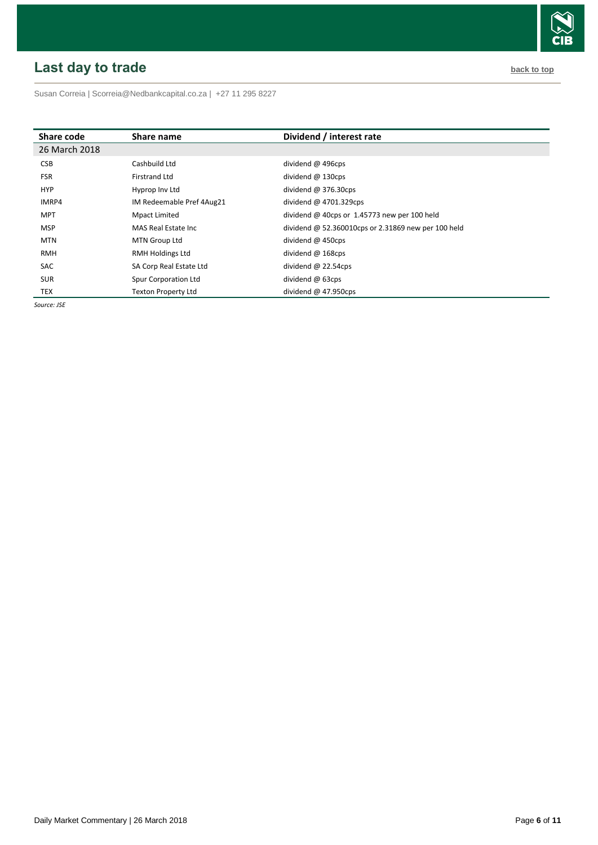# <span id="page-5-0"></span>**Last day to trade back to the contract of the contract of the contract of the contract of the contract of the contract of the contract of the contract of the contract of the contract of the contract of the contract of t**



Susan Correia [| Scorreia@Nedbankcapital.co.za](mailto:Scorreia@Nedbankcapital.co.za) | +27 11 295 8227

| Share code    | Share name                 | Dividend / interest rate                            |
|---------------|----------------------------|-----------------------------------------------------|
| 26 March 2018 |                            |                                                     |
| <b>CSB</b>    | Cashbuild Ltd              | dividend @ 496cps                                   |
| <b>FSR</b>    | <b>Firstrand Ltd</b>       | dividend $@$ 130cps                                 |
| <b>HYP</b>    | Hyprop Inv Ltd             | dividend $@376.30cps$                               |
| IMRP4         | IM Redeemable Pref 4Aug21  | dividend $@$ 4701.329cps                            |
| <b>MPT</b>    | Mpact Limited              | dividend @ 40cps or $1.45773$ new per 100 held      |
| <b>MSP</b>    | MAS Real Estate Inc.       | dividend @ 52.360010cps or 2.31869 new per 100 held |
| <b>MTN</b>    | MTN Group Ltd              | dividend $\omega$ 450cps                            |
| <b>RMH</b>    | <b>RMH Holdings Ltd</b>    | dividend $@$ 168cps                                 |
| SAC           | SA Corp Real Estate Ltd    | dividend $@$ 22.54cps                               |
| <b>SUR</b>    | Spur Corporation Ltd       | dividend $@$ 63cps                                  |
| TEX           | <b>Texton Property Ltd</b> | dividend $@$ 47.950cps                              |

*Source: JSE*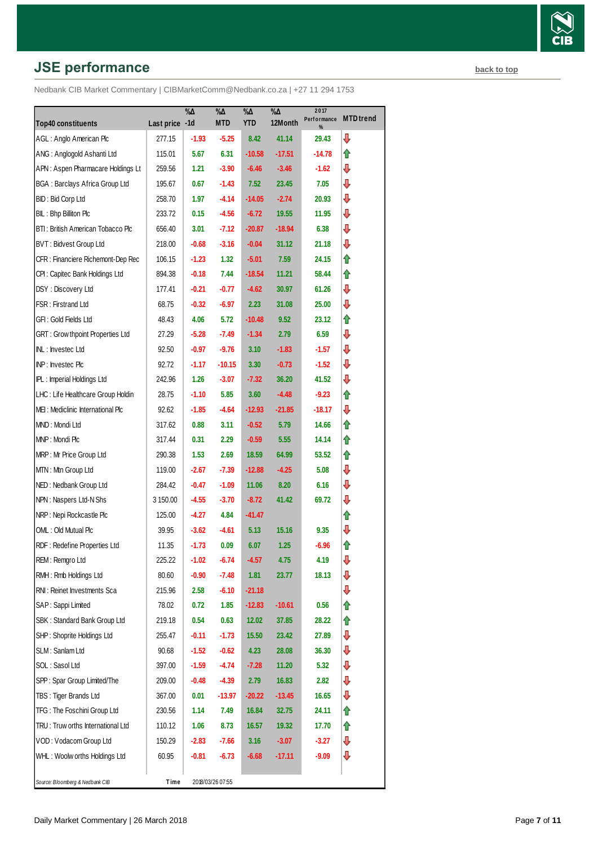# **JSE performance [back to top](#page-0-0) back to top**

|                                         |                | $\% \Delta$ | %Δ               | $\% \Delta$ | $\sqrt[0]{\Delta}$ | 2017<br>Performance | <b>MTD</b> trend |
|-----------------------------------------|----------------|-------------|------------------|-------------|--------------------|---------------------|------------------|
| <b>Top40 constituents</b>               | Last price -1d |             | <b>MTD</b>       | <b>YTD</b>  | 12Month            | %                   |                  |
| AGL: Anglo American Plc                 | 277.15         | $-1.93$     | $-5.25$          | 8.42        | 41.14              | 29.43               | ⇩                |
| ANG: Anglogold Ashanti Ltd              | 115.01         | 5.67        | 6.31             | $-10.58$    | $-17.51$           | -14.78              | ⇑                |
| APN: Aspen Pharmacare Holdings Lt       | 259.56         | 1.21        | $-3.90$          | $-6.46$     | $-3.46$            | $-1.62$             | ⇩                |
| <b>BGA: Barclays Africa Group Ltd</b>   | 195.67         | 0.67        | $-1.43$          | 7.52        | 23.45              | 7.05                | ⇩                |
| BID: Bid Corp Ltd                       | 258.70         | 1.97        | $-4.14$          | $-14.05$    | $-2.74$            | 20.93               | ⇩                |
| BIL: Bhp Billiton Plc                   | 233.72         | 0.15        | $-4.56$          | $-6.72$     | 19.55              | 11.95               | ⇩                |
| BTI: British American Tobacco Plc       | 656.40         | 3.01        | $-7.12$          | $-20.87$    | $-18.94$           | 6.38                | ⇩                |
| BVT: Bidvest Group Ltd                  | 218.00         | $-0.68$     | $-3.16$          | $-0.04$     | 31.12              | 21.18               | ⇩                |
| CFR : Financiere Richemont-Dep Rec      | 106.15         | $-1.23$     | 1.32             | $-5.01$     | 7.59               | 24.15               | ⇑                |
| CPI : Capitec Bank Holdings Ltd         | 894.38         | $-0.18$     | 7.44             | $-18.54$    | 11.21              | 58.44               | ⇑                |
| DSY: Discovery Ltd                      | 177.41         | $-0.21$     | $-0.77$          | $-4.62$     | 30.97              | 61.26               | ⇩                |
| FSR : Firstrand Ltd                     | 68.75          | $-0.32$     | $-6.97$          | 2.23        | 31.08              | 25.00               | ⇩                |
| GFI: Gold Fields Ltd                    | 48.43          | 4.06        | 5.72             | $-10.48$    | 9.52               | 23.12               | ⇑                |
| <b>GRT: Grow thpoint Properties Ltd</b> | 27.29          | $-5.28$     | $-7.49$          | $-1.34$     | 2.79               | 6.59                | ⇩                |
| INL: Investec Ltd                       | 92.50          | $-0.97$     | $-9.76$          | 3.10        | $-1.83$            | $-1.57$             | ⇩                |
| INP: Investec Plc                       | 92.72          | $-1.17$     | $-10.15$         | 3.30        | $-0.73$            | $-1.52$             | ⇩                |
| <b>IPL:</b> Imperial Holdings Ltd       | 242.96         | 1.26        | $-3.07$          | $-7.32$     | 36.20              | 41.52               | ⇩                |
| LHC: Life Healthcare Group Holdin       | 28.75          | $-1.10$     | 5.85             | 3.60        | -4.48              | $-9.23$             | ⇑                |
| MEI: Mediclinic International Plc       | 92.62          | $-1.85$     | $-4.64$          | $-12.93$    | $-21.85$           | $-18.17$            | ⇩                |
| MND: Mondi Ltd                          | 317.62         | 0.88        | 3.11             | $-0.52$     | 5.79               | 14.66               | ⇑                |
| MNP: Mondi Plc                          | 317.44         | 0.31        | 2.29             | $-0.59$     | 5.55               | 14.14               | ⇑                |
| MRP: Mr Price Group Ltd                 | 290.38         | 1.53        | 2.69             | 18.59       | 64.99              | 53.52               | ⇑                |
| MTN: Mtn Group Ltd                      | 119.00         | $-2.67$     | $-7.39$          | $-12.88$    | $-4.25$            | 5.08                | ⇩                |
| NED: Nedbank Group Ltd                  | 284.42         | $-0.47$     | $-1.09$          | 11.06       | 8.20               | 6.16                | ⇩                |
| NPN: Naspers Ltd-N Shs                  | 3 150.00       | $-4.55$     | $-3.70$          | $-8.72$     | 41.42              | 69.72               | ⇩                |
| NRP: Nepi Rockcastle Plc                | 125.00         | $-4.27$     | 4.84             | $-41.47$    |                    |                     | ⇑                |
| OML: Old Mutual Plc                     | 39.95          | $-3.62$     | $-4.61$          | 5.13        | 15.16              | 9.35                | ⇩                |
| RDF: Redefine Properties Ltd            | 11.35          | $-1.73$     | 0.09             | 6.07        | 1.25               | $-6.96$             | ⇑                |
| REM : Remgro Ltd                        | 225.22         | $-1.02$     | $-6.74$          | $-4.57$     | 4.75               | 4.19                | ⇩                |
| RMH : Rmb Holdings Ltd                  | 80.60          | $-0.90$     | $-7.48$          | 1.81        | 23.77              | 18.13               | ⊕                |
| RNI: Reinet Investments Sca             | 215.96         | 2.58        | $-6.10$          | $-21.18$    |                    |                     | ⊕                |
| SAP: Sappi Limited                      | 78.02          | 0.72        | 1.85             | $-12.83$    | $-10.61$           | 0.56                | ⇑                |
| SBK: Standard Bank Group Ltd            | 219.18         | 0.54        | 0.63             | 12.02       | 37.85              | 28.22               | ⇑                |
| SHP: Shoprite Holdings Ltd              | 255.47         | $-0.11$     | $-1.73$          | 15.50       | 23.42              | 27.89               | ⊕                |
| SLM: Sanlam Ltd                         | 90.68          | $-1.52$     | $-0.62$          | 4.23        | 28.08              | 36.30               | ⇩                |
| SOL: Sasol Ltd                          | 397.00         | $-1.59$     | $-4.74$          | $-7.28$     | 11.20              | 5.32                | ⇩                |
| SPP: Spar Group Limited/The             | 209.00         | $-0.48$     | $-4.39$          | 2.79        | 16.83              | 2.82                | ⇩                |
| TBS: Tiger Brands Ltd                   | 367.00         | 0.01        | $-13.97$         | $-20.22$    | $-13.45$           | 16.65               | ⇩                |
| TFG: The Foschini Group Ltd             | 230.56         | 1.14        | 7.49             | 16.84       | 32.75              | 24.11               | ⇑                |
| TRU: Truw orths International Ltd       | 110.12         | 1.06        | 8.73             | 16.57       | 19.32              | 17.70               | ⇑                |
| VOD: Vodacom Group Ltd                  | 150.29         | $-2.83$     | $-7.66$          | 3.16        | $-3.07$            | $-3.27$             | ⇩                |
| WHL: Woolw orths Holdings Ltd           | 60.95          | $-0.81$     | $-6.73$          | -6.68       | $-17.11$           | -9.09               | ⇩                |
|                                         |                |             |                  |             |                    |                     |                  |
| Source: Bloomberg & Nedbank CIB         | Time           |             | 2018/03/26 07:55 |             |                    |                     |                  |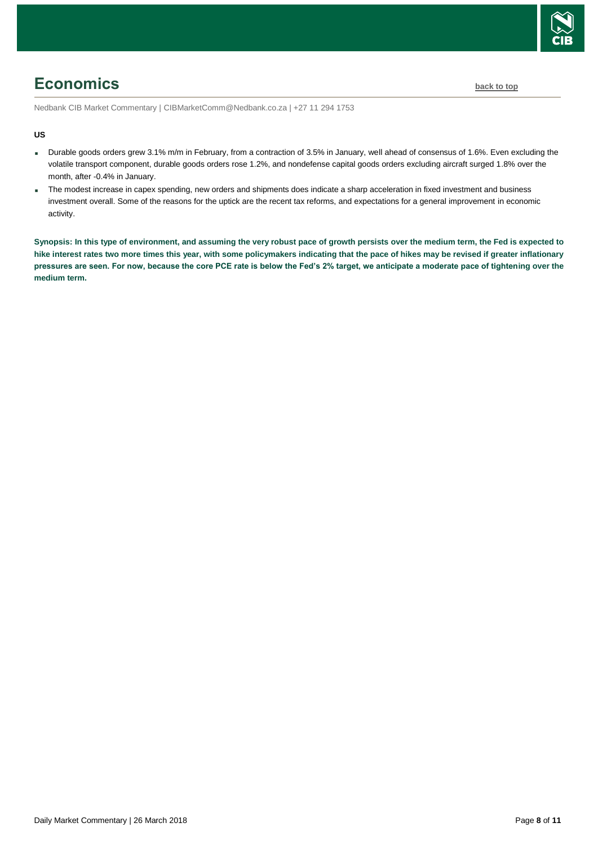

# <span id="page-7-0"></span>**Economics [back to top](#page-0-0)**

Nedbank CIB Market Commentary | CIBMarketComm@Nedbank.co.za | +27 11 294 1753

#### **US**

- Durable goods orders grew 3.1% m/m in February, from a contraction of 3.5% in January, well ahead of consensus of 1.6%. Even excluding the volatile transport component, durable goods orders rose 1.2%, and nondefense capital goods orders excluding aircraft surged 1.8% over the month, after -0.4% in January.
- The modest increase in capex spending, new orders and shipments does indicate a sharp acceleration in fixed investment and business investment overall. Some of the reasons for the uptick are the recent tax reforms, and expectations for a general improvement in economic activity.

**Synopsis: In this type of environment, and assuming the very robust pace of growth persists over the medium term, the Fed is expected to hike interest rates two more times this year, with some policymakers indicating that the pace of hikes may be revised if greater inflationary pressures are seen. For now, because the core PCE rate is below the Fed's 2% target, we anticipate a moderate pace of tightening over the medium term.**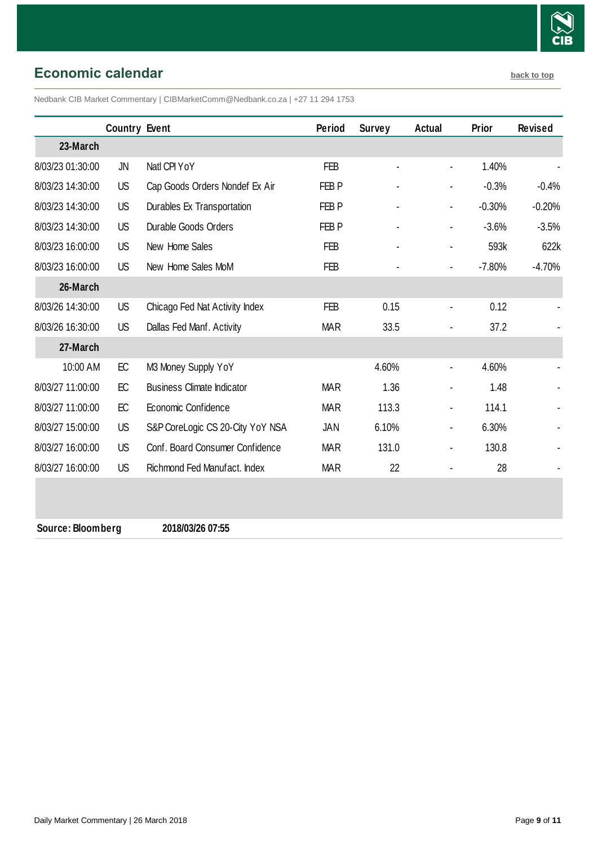

## <span id="page-8-0"></span>**Economic calendar [back to top](#page-0-0)**

Nedbank CIB Market Commentary | CIBMarketComm@Nedbank.co.za | +27 11 294 1753

|                  | <b>Country Event</b> |                                   | Period           | <b>Survey</b> | <b>Actual</b>            | Prior    | <b>Revised</b> |
|------------------|----------------------|-----------------------------------|------------------|---------------|--------------------------|----------|----------------|
| 23-March         |                      |                                   |                  |               |                          |          |                |
| 8/03/23 01:30:00 | JN                   | Natl CPI YoY                      | <b>FEB</b>       |               | ÷,                       | 1.40%    |                |
| 8/03/23 14:30:00 | <b>US</b>            | Cap Goods Orders Nondef Ex Air    | FEB <sub>P</sub> |               | $\blacksquare$           | $-0.3%$  | $-0.4%$        |
| 8/03/23 14:30:00 | US                   | Durables Ex Transportation        | FEB P            |               | $\blacksquare$           | $-0.30%$ | $-0.20%$       |
| 8/03/23 14:30:00 | <b>US</b>            | Durable Goods Orders              | FEB <sub>P</sub> |               | $\overline{\phantom{a}}$ | $-3.6%$  | $-3.5%$        |
| 8/03/23 16:00:00 | <b>US</b>            | New Home Sales                    | <b>FEB</b>       |               | $\blacksquare$           | 593k     | 622k           |
| 8/03/23 16:00:00 | <b>US</b>            | New Home Sales MoM                | <b>FEB</b>       |               | ÷,                       | $-7.80%$ | $-4.70%$       |
| 26-March         |                      |                                   |                  |               |                          |          |                |
| 8/03/26 14:30:00 | <b>US</b>            | Chicago Fed Nat Activity Index    | FEB              | 0.15          | $\blacksquare$           | 0.12     |                |
| 8/03/26 16:30:00 | <b>US</b>            | Dallas Fed Manf. Activity         | <b>MAR</b>       | 33.5          | ٠                        | 37.2     |                |
| 27-March         |                      |                                   |                  |               |                          |          |                |
| 10:00 AM         | EC                   | M3 Money Supply YoY               |                  | 4.60%         | $\blacksquare$           | 4.60%    |                |
| 8/03/27 11:00:00 | EC                   | <b>Business Climate Indicator</b> | <b>MAR</b>       | 1.36          | $\blacksquare$           | 1.48     |                |
| 8/03/27 11:00:00 | EC                   | Economic Confidence               | <b>MAR</b>       | 113.3         | $\blacksquare$           | 114.1    |                |
| 8/03/27 15:00:00 | US                   | S&P CoreLogic CS 20-City YoY NSA  | JAN              | 6.10%         | $\blacksquare$           | 6.30%    |                |
| 8/03/27 16:00:00 | US                   | Conf. Board Consumer Confidence   | <b>MAR</b>       | 131.0         | $\blacksquare$           | 130.8    |                |
| 8/03/27 16:00:00 | <b>US</b>            | Richmond Fed Manufact, Index      | <b>MAR</b>       | 22            |                          | 28       |                |

**Source: Bloomberg 2018/03/26 07:55**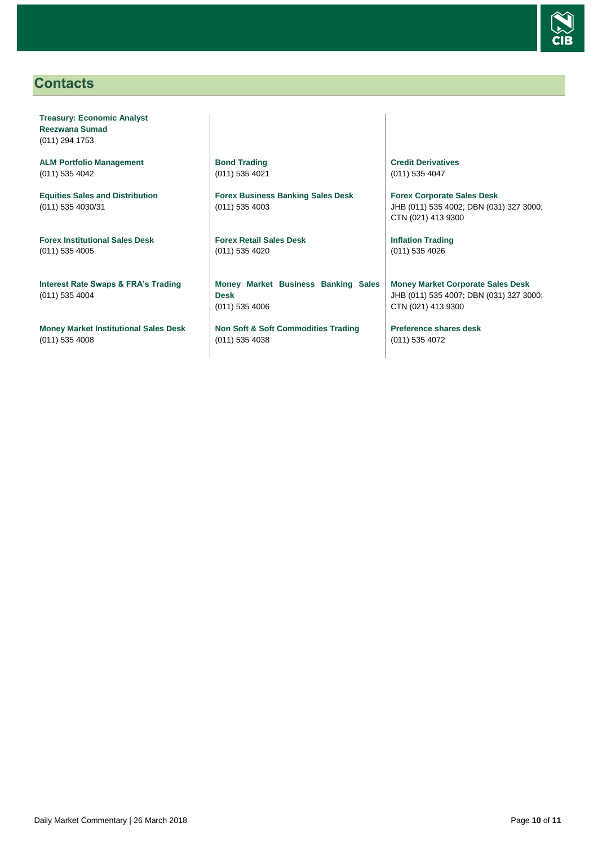

## <span id="page-9-0"></span>**Contacts**

**Treasury: Economic Analyst Reezwana Sumad** (011) 294 1753

**ALM Portfolio Management** (011) 535 4042

**Equities Sales and Distribution** (011) 535 4030/31

**Forex Institutional Sales Desk** (011) 535 4005

**Interest Rate Swaps & FRA's Trading** (011) 535 4004

**Money Market Institutional Sales Desk** (011) 535 4008

**Bond Trading** (011) 535 4021

**Forex Business Banking Sales Desk** (011) 535 4003

**Forex Retail Sales Desk** (011) 535 4020

**Money Market Business Banking Sales Desk** (011) 535 4006

**Non Soft & Soft Commodities Trading** (011) 535 4038

**Credit Derivatives**  (011) 535 4047

**Forex Corporate Sales Desk** JHB (011) 535 4002; DBN (031) 327 3000; CTN (021) 413 9300

**Inflation Trading** (011) 535 4026

**Money Market Corporate Sales Desk** JHB (011) 535 4007; DBN (031) 327 3000; CTN (021) 413 9300

**Preference shares desk** (011) 535 4072